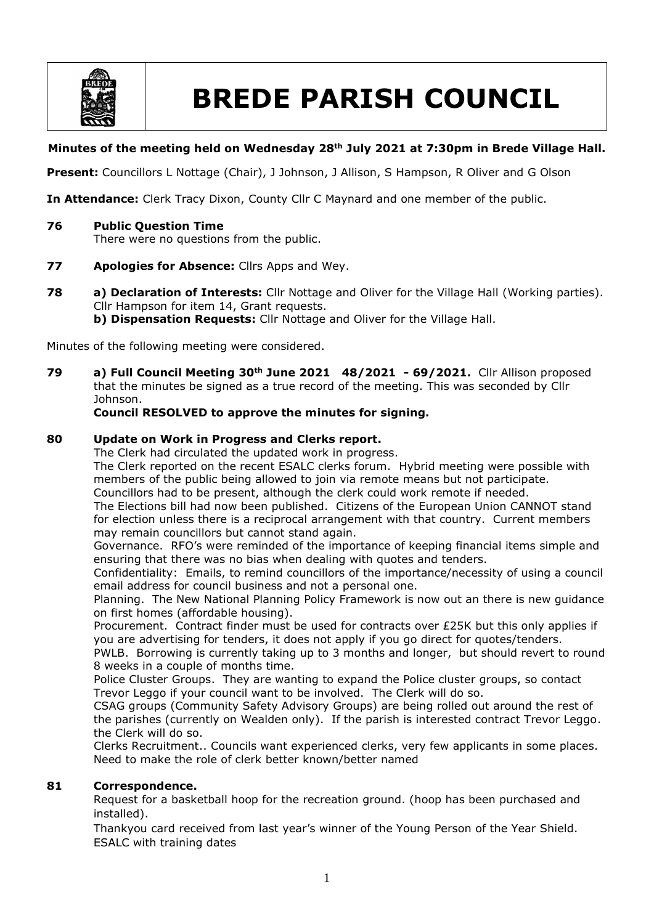

# **BREDE PARISH COUNCIL**

# **Minutes of the meeting held on Wednesday 28th July 2021 at 7:30pm in Brede Village Hall.**

**Present:** Councillors L Nottage (Chair), J Johnson, J Allison, S Hampson, R Oliver and G Olson

**In Attendance:** Clerk Tracy Dixon, County Cllr C Maynard and one member of the public.

**76 Public Question Time**

There were no questions from the public.

- **77 Apologies for Absence:** Cllrs Apps and Wey.
- **78 a) Declaration of Interests:** Cllr Nottage and Oliver for the Village Hall (Working parties). Cllr Hampson for item 14, Grant requests. **b) Dispensation Requests:** Cllr Nottage and Oliver for the Village Hall.

Minutes of the following meeting were considered.

**79 a) Full Council Meeting 30th June 2021 48/2021 - 69/2021.** Cllr Allison proposed that the minutes be signed as a true record of the meeting. This was seconded by Cllr Johnson.

## **Council RESOLVED to approve the minutes for signing.**

## **80 Update on Work in Progress and Clerks report.**

The Clerk had circulated the updated work in progress.

The Clerk reported on the recent ESALC clerks forum. Hybrid meeting were possible with members of the public being allowed to join via remote means but not participate. Councillors had to be present, although the clerk could work remote if needed.

The Elections bill had now been published. Citizens of the European Union CANNOT stand for election unless there is a reciprocal arrangement with that country. Current members may remain councillors but cannot stand again.

Governance. RFO's were reminded of the importance of keeping financial items simple and ensuring that there was no bias when dealing with quotes and tenders.

Confidentiality: Emails, to remind councillors of the importance/necessity of using a council email address for council business and not a personal one.

Planning. The New National Planning Policy Framework is now out an there is new guidance on first homes (affordable housing).

Procurement. Contract finder must be used for contracts over £25K but this only applies if you are advertising for tenders, it does not apply if you go direct for quotes/tenders.

PWLB. Borrowing is currently taking up to 3 months and longer, but should revert to round 8 weeks in a couple of months time.

Police Cluster Groups. They are wanting to expand the Police cluster groups, so contact Trevor Leggo if your council want to be involved. The Clerk will do so.

CSAG groups (Community Safety Advisory Groups) are being rolled out around the rest of the parishes (currently on Wealden only). If the parish is interested contract Trevor Leggo. the Clerk will do so.

Clerks Recruitment.. Councils want experienced clerks, very few applicants in some places. Need to make the role of clerk better known/better named

# **81 Correspondence.**

Request for a basketball hoop for the recreation ground. (hoop has been purchased and installed).

Thankyou card received from last year's winner of the Young Person of the Year Shield. ESALC with training dates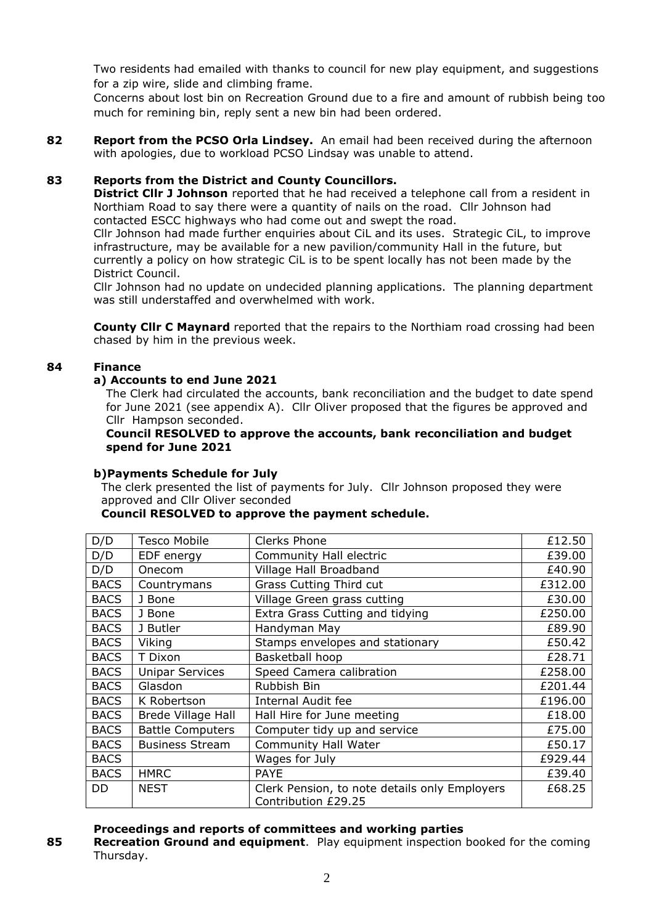Two residents had emailed with thanks to council for new play equipment, and suggestions for a zip wire, slide and climbing frame.

Concerns about lost bin on Recreation Ground due to a fire and amount of rubbish being too much for remining bin, reply sent a new bin had been ordered.

**82 Report from the PCSO Orla Lindsey.** An email had been received during the afternoon with apologies, due to workload PCSO Lindsay was unable to attend.

## **83 Reports from the District and County Councillors.**

**District Cllr J Johnson** reported that he had received a telephone call from a resident in Northiam Road to say there were a quantity of nails on the road. Cllr Johnson had contacted ESCC highways who had come out and swept the road.

Cllr Johnson had made further enquiries about CiL and its uses. Strategic CiL, to improve infrastructure, may be available for a new pavilion/community Hall in the future, but currently a policy on how strategic CiL is to be spent locally has not been made by the District Council.

Cllr Johnson had no update on undecided planning applications. The planning department was still understaffed and overwhelmed with work.

**County Cllr C Maynard** reported that the repairs to the Northiam road crossing had been chased by him in the previous week.

## **84 Finance**

# **a) Accounts to end June 2021**

The Clerk had circulated the accounts, bank reconciliation and the budget to date spend for June 2021 (see appendix A). Cllr Oliver proposed that the figures be approved and Cllr Hampson seconded.

## **Council RESOLVED to approve the accounts, bank reconciliation and budget spend for June 2021**

## **b)Payments Schedule for July**

The clerk presented the list of payments for July. Cllr Johnson proposed they were approved and Cllr Oliver seconded

## **Council RESOLVED to approve the payment schedule.**

| D/D         | <b>Tesco Mobile</b>       | Clerks Phone                                                         | £12.50  |
|-------------|---------------------------|----------------------------------------------------------------------|---------|
| D/D         | EDF energy                | Community Hall electric                                              | £39.00  |
| D/D         | Onecom                    | Village Hall Broadband                                               | £40.90  |
| <b>BACS</b> | Countrymans               | <b>Grass Cutting Third cut</b>                                       | £312.00 |
| <b>BACS</b> | J Bone                    | Village Green grass cutting                                          | £30.00  |
| <b>BACS</b> | J Bone                    | Extra Grass Cutting and tidying                                      | £250.00 |
| <b>BACS</b> | J Butler                  | Handyman May                                                         | £89.90  |
| <b>BACS</b> | Viking                    | Stamps envelopes and stationary                                      | £50.42  |
| <b>BACS</b> | T Dixon                   | Basketball hoop                                                      | £28.71  |
| <b>BACS</b> | <b>Unipar Services</b>    | Speed Camera calibration                                             | £258.00 |
| <b>BACS</b> | Glasdon                   | Rubbish Bin                                                          | £201.44 |
| <b>BACS</b> | K Robertson               | <b>Internal Audit fee</b>                                            | £196.00 |
| <b>BACS</b> | <b>Brede Village Hall</b> | Hall Hire for June meeting                                           | £18.00  |
| <b>BACS</b> | <b>Battle Computers</b>   | Computer tidy up and service                                         | £75.00  |
| <b>BACS</b> | <b>Business Stream</b>    | <b>Community Hall Water</b>                                          | £50.17  |
| <b>BACS</b> |                           | Wages for July                                                       | £929.44 |
| <b>BACS</b> | <b>HMRC</b>               | <b>PAYE</b>                                                          | £39.40  |
| DD.         | <b>NEST</b>               | Clerk Pension, to note details only Employers<br>Contribution £29.25 | £68.25  |

## **Proceedings and reports of committees and working parties**

**85 Recreation Ground and equipment**. Play equipment inspection booked for the coming Thursday.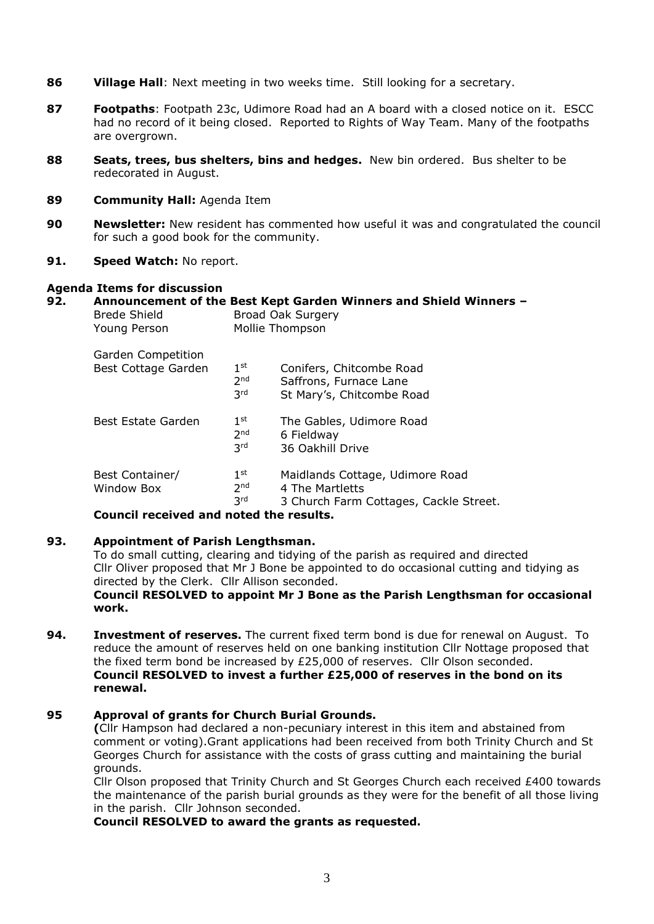- **86 Village Hall**: Next meeting in two weeks time. Still looking for a secretary.
- **87 Footpaths**: Footpath 23c, Udimore Road had an A board with a closed notice on it. ESCC had no record of it being closed. Reported to Rights of Way Team. Many of the footpaths are overgrown.
- **88 Seats, trees, bus shelters, bins and hedges.** New bin ordered. Bus shelter to be redecorated in August.
- **89 Community Hall:** Agenda Item
- **90 Newsletter:** New resident has commented how useful it was and congratulated the council for such a good book for the community.
- **91. Speed Watch:** No report.

## **Agenda Items for discussion**

# **92. Announcement of the Best Kept Garden Winners and Shield Winners –**

| <b>Brede Shield</b><br>Young Person       | ANDONNONNON OF THE BEST REPT SURGH TENNICIS QUA SINGLY TENNICIS<br><b>Broad Oak Surgery</b><br>Mollie Thompson |                                                                                              |
|-------------------------------------------|----------------------------------------------------------------------------------------------------------------|----------------------------------------------------------------------------------------------|
| Garden Competition<br>Best Cottage Garden | 1 <sup>st</sup><br>2 <sub>nd</sub><br>3rd                                                                      | Conifers, Chitcombe Road<br>Saffrons, Furnace Lane<br>St Mary's, Chitcombe Road              |
| Best Estate Garden                        | 1 <sup>st</sup><br>2 <sub>nd</sub><br><b>3rd</b>                                                               | The Gables, Udimore Road<br>6 Fieldway<br>36 Oakhill Drive                                   |
| Best Container/<br>Window Box             | 1 <sup>st</sup><br>2 <sub>nd</sub><br><b>3rd</b>                                                               | Maidlands Cottage, Udimore Road<br>4 The Martletts<br>3 Church Farm Cottages, Cackle Street. |

#### **Council received and noted the results.**

## **93. Appointment of Parish Lengthsman.**

To do small cutting, clearing and tidying of the parish as required and directed Cllr Oliver proposed that Mr J Bone be appointed to do occasional cutting and tidying as directed by the Clerk. Cllr Allison seconded.

## **Council RESOLVED to appoint Mr J Bone as the Parish Lengthsman for occasional work.**

**94. Investment of reserves.** The current fixed term bond is due for renewal on August. To reduce the amount of reserves held on one banking institution Cllr Nottage proposed that the fixed term bond be increased by £25,000 of reserves. Cllr Olson seconded. **Council RESOLVED to invest a further £25,000 of reserves in the bond on its renewal.**

## **95 Approval of grants for Church Burial Grounds.**

**(**Cllr Hampson had declared a non-pecuniary interest in this item and abstained from comment or voting).Grant applications had been received from both Trinity Church and St Georges Church for assistance with the costs of grass cutting and maintaining the burial grounds.

Cllr Olson proposed that Trinity Church and St Georges Church each received £400 towards the maintenance of the parish burial grounds as they were for the benefit of all those living in the parish. Cllr Johnson seconded.

**Council RESOLVED to award the grants as requested.**